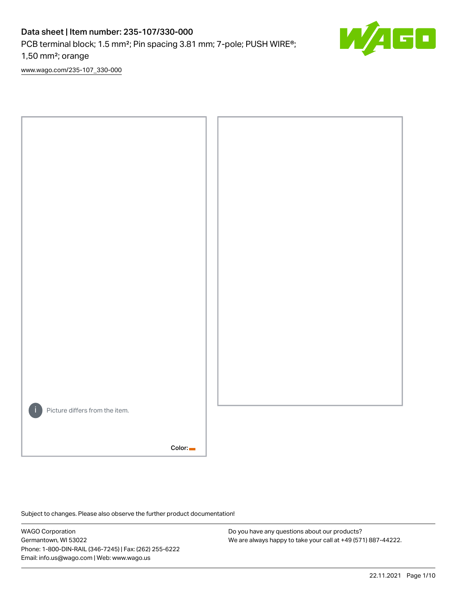# Data sheet | Item number: 235-107/330-000

PCB terminal block; 1.5 mm<sup>2</sup>; Pin spacing 3.81 mm; 7-pole; PUSH WIRE<sup>®</sup>;

1,50 mm²; orange

[www.wago.com/235-107\\_330-000](http://www.wago.com/235-107_330-000)



Subject to changes. Please also observe the further product documentation!

WAGO Corporation Germantown, WI 53022 Phone: 1-800-DIN-RAIL (346-7245) | Fax: (262) 255-6222 Email: info.us@wago.com | Web: www.wago.us

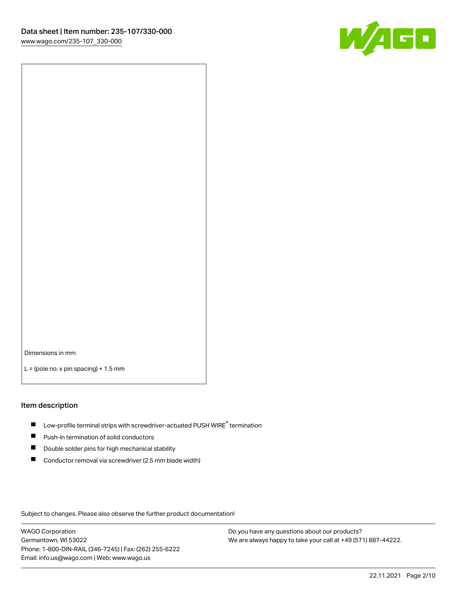

Dimensions in mm

 $L =$  (pole no. x pin spacing) + 1.5 mm

#### Item description

- $\blacksquare$  Low-profile terminal strips with screwdriver-actuated PUSH WIRE<sup>®</sup> termination
- **Push-in termination of solid conductors**
- $\blacksquare$ Double solder pins for high mechanical stability
- П Conductor removal via screwdriver (2.5 mm blade width)

Subject to changes. Please also observe the further product documentation!

WAGO Corporation Germantown, WI 53022 Phone: 1-800-DIN-RAIL (346-7245) | Fax: (262) 255-6222 Email: info.us@wago.com | Web: www.wago.us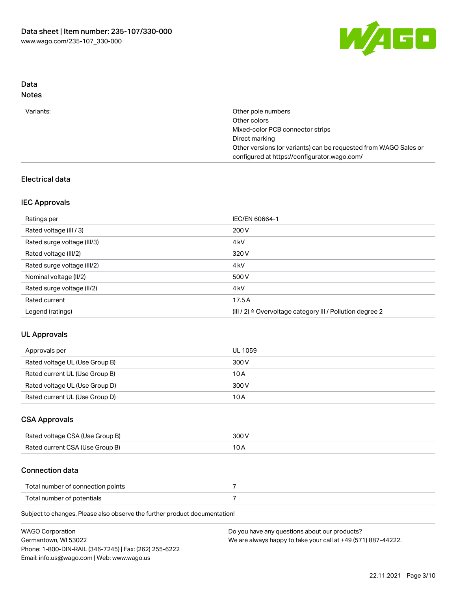

## Data Notes

| Other pole numbers                                               |
|------------------------------------------------------------------|
| Other colors                                                     |
| Mixed-color PCB connector strips                                 |
| Direct marking                                                   |
| Other versions (or variants) can be requested from WAGO Sales or |
| configured at https://configurator.wago.com/                     |
|                                                                  |

## Electrical data

## IEC Approvals

| Ratings per                 | IEC/EN 60664-1                                                        |
|-----------------------------|-----------------------------------------------------------------------|
| Rated voltage (III / 3)     | 200 V                                                                 |
| Rated surge voltage (III/3) | 4 <sub>k</sub> V                                                      |
| Rated voltage (III/2)       | 320 V                                                                 |
| Rated surge voltage (III/2) | 4 <sub>k</sub> V                                                      |
| Nominal voltage (II/2)      | 500 V                                                                 |
| Rated surge voltage (II/2)  | 4 <sub>k</sub> V                                                      |
| Rated current               | 17.5A                                                                 |
| Legend (ratings)            | $(III / 2)$ $\triangle$ Overvoltage category III / Pollution degree 2 |

# UL Approvals

| Approvals per                  | UL 1059 |
|--------------------------------|---------|
| Rated voltage UL (Use Group B) | 300 V   |
| Rated current UL (Use Group B) | 10 A    |
| Rated voltage UL (Use Group D) | 300 V   |
| Rated current UL (Use Group D) | 10 A    |

### CSA Approvals

| Rated voltage CSA (Use Group B) | 300 V |
|---------------------------------|-------|
| Rated current CSA (Use Group B) |       |

### Connection data

| Total number of connection points |  |
|-----------------------------------|--|
| Total number of potentials        |  |

Subject to changes. Please also observe the further product documentation!

| <b>WAGO Corporation</b>                                | Do you have any questions about our products?                 |
|--------------------------------------------------------|---------------------------------------------------------------|
| Germantown, WI 53022                                   | We are always happy to take your call at +49 (571) 887-44222. |
| Phone: 1-800-DIN-RAIL (346-7245)   Fax: (262) 255-6222 |                                                               |
| Email: info.us@wago.com   Web: www.wago.us             |                                                               |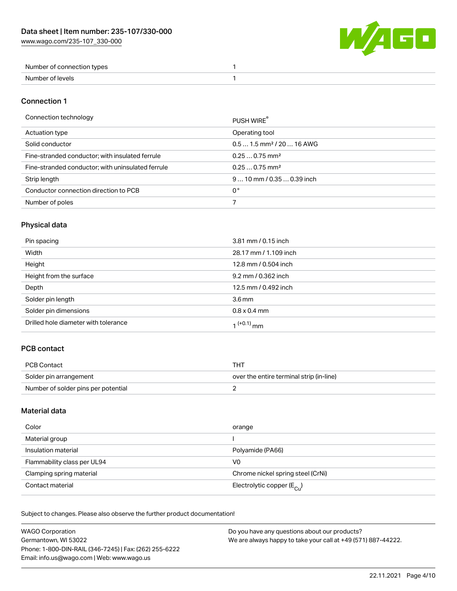W/AGO

| Number of connection types |  |
|----------------------------|--|
| Number of levels           |  |

### Connection 1

#### Connection technology PUSH WIRE®

| ັ                                                 | <b>PUSH WIRE</b>                      |
|---------------------------------------------------|---------------------------------------|
| Actuation type                                    | Operating tool                        |
| Solid conductor                                   | $0.51.5$ mm <sup>2</sup> / 20  16 AWG |
| Fine-stranded conductor; with insulated ferrule   | $0.250.75$ mm <sup>2</sup>            |
| Fine-stranded conductor; with uninsulated ferrule | $0.250.75$ mm <sup>2</sup>            |
| Strip length                                      | $910$ mm / 0.35  0.39 inch            |
| Conductor connection direction to PCB             | 0°                                    |
| Number of poles                                   |                                       |
|                                                   |                                       |

# Physical data

| Pin spacing                          | 3.81 mm / 0.15 inch   |
|--------------------------------------|-----------------------|
| Width                                | 28.17 mm / 1.109 inch |
| Height                               | 12.8 mm / 0.504 inch  |
| Height from the surface              | 9.2 mm / 0.362 inch   |
| Depth                                | 12.5 mm / 0.492 inch  |
| Solder pin length                    | 3.6 <sub>mm</sub>     |
| Solder pin dimensions                | $0.8 \times 0.4$ mm   |
| Drilled hole diameter with tolerance | $1^{(+0.1)}$ mm       |

## PCB contact

| PCB Contact                         | тнт                                      |
|-------------------------------------|------------------------------------------|
| Solder pin arrangement              | over the entire terminal strip (in-line) |
| Number of solder pins per potential |                                          |

## Material data

| Color                       | orange                                  |
|-----------------------------|-----------------------------------------|
| Material group              |                                         |
| Insulation material         | Polyamide (PA66)                        |
| Flammability class per UL94 | V <sub>0</sub>                          |
| Clamping spring material    | Chrome nickel spring steel (CrNi)       |
| Contact material            | Electrolytic copper ( $E_{\text{Cl}}$ ) |

Subject to changes. Please also observe the further product documentation!

| <b>WAGO Corporation</b>                                | Do you have any questions about our products?                 |
|--------------------------------------------------------|---------------------------------------------------------------|
| Germantown, WI 53022                                   | We are always happy to take your call at +49 (571) 887-44222. |
| Phone: 1-800-DIN-RAIL (346-7245)   Fax: (262) 255-6222 |                                                               |
| Email: info.us@wago.com   Web: www.wago.us             |                                                               |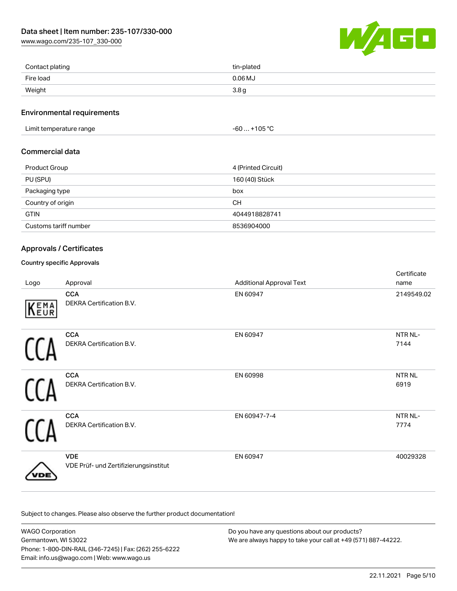[www.wago.com/235-107\\_330-000](http://www.wago.com/235-107_330-000)



| Contact plating | tin-plated       |
|-----------------|------------------|
| Fire load       | $0.06$ MJ        |
| Weight          | 3.8 <sub>g</sub> |

#### Environmental requirements

Limit temperature range  $-60... +105$  °C

## Commercial data

| Product Group         | 4 (Printed Circuit) |
|-----------------------|---------------------|
| PU (SPU)              | 160 (40) Stück      |
| Packaging type        | box                 |
| Country of origin     | CН                  |
| <b>GTIN</b>           | 4044918828741       |
| Customs tariff number | 8536904000          |

### Approvals / Certificates

### Country specific Approvals

| Logo | Approval                                            | <b>Additional Approval Text</b> | Certificate<br>name       |
|------|-----------------------------------------------------|---------------------------------|---------------------------|
| KEMA | <b>CCA</b><br>DEKRA Certification B.V.              | EN 60947                        | 2149549.02                |
|      | <b>CCA</b><br>DEKRA Certification B.V.              | EN 60947                        | NTR NL-<br>7144           |
|      | <b>CCA</b><br>DEKRA Certification B.V.              | EN 60998                        | NTR <sub>NL</sub><br>6919 |
|      | <b>CCA</b><br>DEKRA Certification B.V.              | EN 60947-7-4                    | NTR NL-<br>7774           |
| DЕ   | <b>VDE</b><br>VDE Prüf- und Zertifizierungsinstitut | EN 60947                        | 40029328                  |

Subject to changes. Please also observe the further product documentation!

| <b>WAGO Corporation</b>                                | Do you have any questions about our products?                 |
|--------------------------------------------------------|---------------------------------------------------------------|
| Germantown, WI 53022                                   | We are always happy to take your call at +49 (571) 887-44222. |
| Phone: 1-800-DIN-RAIL (346-7245)   Fax: (262) 255-6222 |                                                               |
| Email: info.us@wago.com   Web: www.wago.us             |                                                               |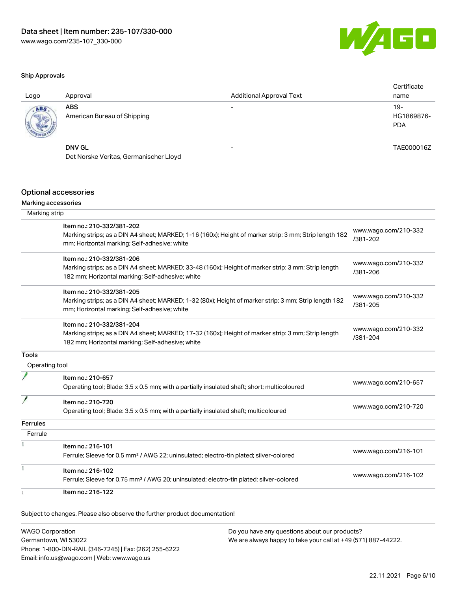

#### Ship Approvals

| Logo | Approval                                  | <b>Additional Approval Text</b> | Certificate<br>name               |
|------|-------------------------------------------|---------------------------------|-----------------------------------|
| ABS  | <b>ABS</b><br>American Bureau of Shipping |                                 | $19-$<br>HG1869876-<br><b>PDA</b> |
|      | <b>DNV GL</b>                             | $\overline{\phantom{0}}$        | TAE000016Z                        |
|      | Det Norske Veritas, Germanischer Lloyd    |                                 |                                   |
|      |                                           |                                 |                                   |

#### Optional accessories

### Marking accessories

| Marking strip   |                                                                                                                                                                                      |                                  |
|-----------------|--------------------------------------------------------------------------------------------------------------------------------------------------------------------------------------|----------------------------------|
|                 | Item no.: 210-332/381-202<br>Marking strips; as a DIN A4 sheet; MARKED; 1-16 (160x); Height of marker strip: 3 mm; Strip length 182<br>mm; Horizontal marking; Self-adhesive; white  | www.wago.com/210-332<br>/381-202 |
|                 | Item no.: 210-332/381-206<br>Marking strips; as a DIN A4 sheet; MARKED; 33-48 (160x); Height of marker strip: 3 mm; Strip length<br>182 mm; Horizontal marking; Self-adhesive; white | www.wago.com/210-332<br>/381-206 |
|                 | Item no.: 210-332/381-205<br>Marking strips; as a DIN A4 sheet; MARKED; 1-32 (80x); Height of marker strip: 3 mm; Strip length 182<br>mm; Horizontal marking; Self-adhesive; white   | www.wago.com/210-332<br>/381-205 |
|                 | Item no.: 210-332/381-204<br>Marking strips; as a DIN A4 sheet; MARKED; 17-32 (160x); Height of marker strip: 3 mm; Strip length<br>182 mm; Horizontal marking; Self-adhesive; white | www.wago.com/210-332<br>/381-204 |
| Tools           |                                                                                                                                                                                      |                                  |
| Operating tool  |                                                                                                                                                                                      |                                  |
|                 | Item no.: 210-657<br>Operating tool; Blade: 3.5 x 0.5 mm; with a partially insulated shaft; short; multicoloured                                                                     | www.wago.com/210-657             |
|                 | Item no.: 210-720<br>Operating tool; Blade: 3.5 x 0.5 mm; with a partially insulated shaft; multicoloured                                                                            | www.wago.com/210-720             |
| <b>Ferrules</b> |                                                                                                                                                                                      |                                  |
| Ferrule         |                                                                                                                                                                                      |                                  |
|                 | Item no.: 216-101<br>Ferrule; Sleeve for 0.5 mm <sup>2</sup> / AWG 22; uninsulated; electro-tin plated; silver-colored                                                               | www.wago.com/216-101             |
|                 | Item no.: 216-102<br>Ferrule; Sleeve for 0.75 mm <sup>2</sup> / AWG 20; uninsulated; electro-tin plated; silver-colored                                                              | www.wago.com/216-102             |
|                 | Item no.: 216-122                                                                                                                                                                    |                                  |

Subject to changes. Please also observe the further product documentation!

WAGO Corporation Germantown, WI 53022 Phone: 1-800-DIN-RAIL (346-7245) | Fax: (262) 255-6222 Email: info.us@wago.com | Web: www.wago.us Do you have any questions about our products? We are always happy to take your call at +49 (571) 887-44222.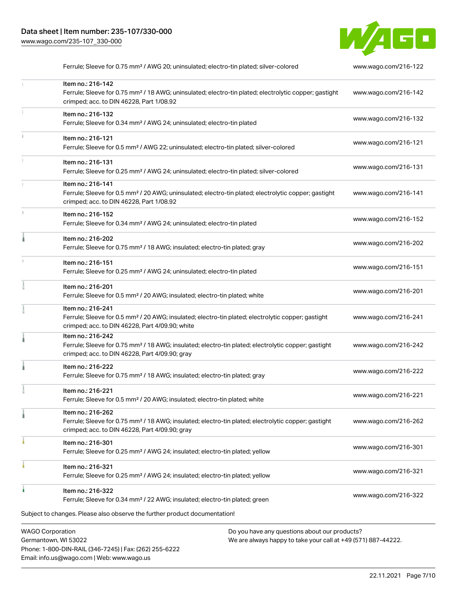Phone: 1-800-DIN-RAIL (346-7245) | Fax: (262) 255-6222

Email: info.us@wago.com | Web: www.wago.us



| Ferrule; Sleeve for 0.75 mm <sup>2</sup> / AWG 20; uninsulated; electro-tin plated; silver-colored                                                                                     | www.wago.com/216-122 |
|----------------------------------------------------------------------------------------------------------------------------------------------------------------------------------------|----------------------|
| Item no.: 216-142<br>Ferrule; Sleeve for 0.75 mm <sup>2</sup> / 18 AWG; uninsulated; electro-tin plated; electrolytic copper; gastight<br>crimped; acc. to DIN 46228, Part 1/08.92     | www.wago.com/216-142 |
| Item no.: 216-132<br>Ferrule; Sleeve for 0.34 mm <sup>2</sup> / AWG 24; uninsulated; electro-tin plated                                                                                | www.wago.com/216-132 |
| Item no.: 216-121<br>Ferrule; Sleeve for 0.5 mm <sup>2</sup> / AWG 22; uninsulated; electro-tin plated; silver-colored                                                                 | www.wago.com/216-121 |
| Item no.: 216-131<br>Ferrule; Sleeve for 0.25 mm <sup>2</sup> / AWG 24; uninsulated; electro-tin plated; silver-colored                                                                | www.wago.com/216-131 |
| Item no.: 216-141<br>Ferrule; Sleeve for 0.5 mm <sup>2</sup> / 20 AWG; uninsulated; electro-tin plated; electrolytic copper; gastight<br>crimped; acc. to DIN 46228, Part 1/08.92      | www.wago.com/216-141 |
| Item no.: 216-152<br>Ferrule; Sleeve for 0.34 mm <sup>2</sup> / AWG 24; uninsulated; electro-tin plated                                                                                | www.wago.com/216-152 |
| Item no.: 216-202<br>Ferrule; Sleeve for 0.75 mm <sup>2</sup> / 18 AWG; insulated; electro-tin plated; gray                                                                            | www.wago.com/216-202 |
| Item no.: 216-151<br>Ferrule; Sleeve for 0.25 mm <sup>2</sup> / AWG 24; uninsulated; electro-tin plated                                                                                | www.wago.com/216-151 |
| Item no.: 216-201<br>Ferrule; Sleeve for 0.5 mm <sup>2</sup> / 20 AWG; insulated; electro-tin plated; white                                                                            | www.wago.com/216-201 |
| Item no.: 216-241<br>Ferrule; Sleeve for 0.5 mm <sup>2</sup> / 20 AWG; insulated; electro-tin plated; electrolytic copper; gastight<br>crimped; acc. to DIN 46228, Part 4/09.90; white | www.wago.com/216-241 |
| Item no.: 216-242<br>Ferrule; Sleeve for 0.75 mm <sup>2</sup> / 18 AWG; insulated; electro-tin plated; electrolytic copper; gastight<br>crimped; acc. to DIN 46228, Part 4/09.90; gray | www.wago.com/216-242 |
| Item no.: 216-222<br>Ferrule; Sleeve for 0.75 mm <sup>2</sup> / 18 AWG; insulated; electro-tin plated; gray                                                                            | www.wago.com/216-222 |
| Item no.: 216-221<br>Ferrule; Sleeve for 0.5 mm <sup>2</sup> / 20 AWG; insulated; electro-tin plated; white                                                                            | www.wago.com/216-221 |
| Item no.: 216-262<br>Ferrule; Sleeve for 0.75 mm <sup>2</sup> / 18 AWG; insulated; electro-tin plated; electrolytic copper; gastight<br>crimped; acc. to DIN 46228, Part 4/09.90; gray | www.wago.com/216-262 |
| Item no.: 216-301<br>Ferrule; Sleeve for 0.25 mm <sup>2</sup> / AWG 24; insulated; electro-tin plated; yellow                                                                          | www.wago.com/216-301 |
| Item no.: 216-321<br>Ferrule; Sleeve for 0.25 mm <sup>2</sup> / AWG 24; insulated; electro-tin plated; yellow                                                                          | www.wago.com/216-321 |
| Item no.: 216-322<br>Ferrule; Sleeve for 0.34 mm <sup>2</sup> / 22 AWG; insulated; electro-tin plated; green                                                                           | www.wago.com/216-322 |
| Subject to changes. Please also observe the further product documentation!                                                                                                             |                      |
| <b>WAGO Corporation</b><br>Do you have any questions about our products?<br>Germantown, WI 53022<br>We are always happy to take your call at +49 (571) 887-44222.                      |                      |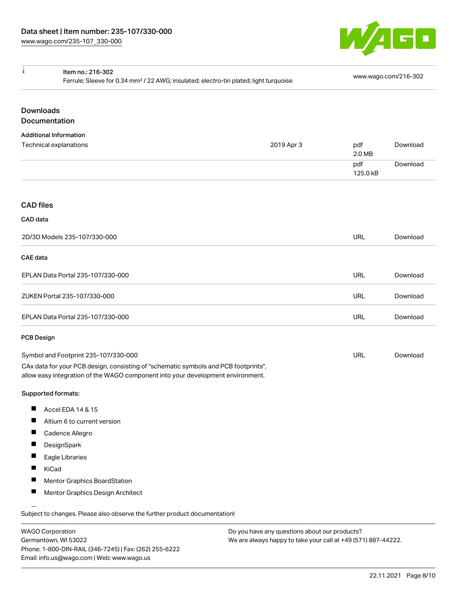

| ł<br>Item no.: 216-302<br>Ferrule; Sleeve for 0.34 mm <sup>2</sup> / 22 AWG; insulated; electro-tin plated; light turquoise |                                                                                                                                                                        |            | www.wago.com/216-302 |          |
|-----------------------------------------------------------------------------------------------------------------------------|------------------------------------------------------------------------------------------------------------------------------------------------------------------------|------------|----------------------|----------|
| <b>Downloads</b><br>Documentation                                                                                           |                                                                                                                                                                        |            |                      |          |
|                                                                                                                             |                                                                                                                                                                        |            |                      |          |
| <b>Additional Information</b><br>Technical explanations                                                                     |                                                                                                                                                                        | 2019 Apr 3 | pdf<br>2.0 MB        | Download |
|                                                                                                                             |                                                                                                                                                                        |            | pdf<br>125.0 kB      | Download |
| <b>CAD files</b>                                                                                                            |                                                                                                                                                                        |            |                      |          |
| CAD data                                                                                                                    |                                                                                                                                                                        |            |                      |          |
| 2D/3D Models 235-107/330-000                                                                                                |                                                                                                                                                                        |            | <b>URL</b>           | Download |
| <b>CAE</b> data                                                                                                             |                                                                                                                                                                        |            |                      |          |
| EPLAN Data Portal 235-107/330-000                                                                                           |                                                                                                                                                                        |            | <b>URL</b>           | Download |
| ZUKEN Portal 235-107/330-000                                                                                                |                                                                                                                                                                        |            | <b>URL</b>           | Download |
| EPLAN Data Portal 235-107/330-000                                                                                           |                                                                                                                                                                        |            | <b>URL</b>           | Download |
| <b>PCB Design</b>                                                                                                           |                                                                                                                                                                        |            |                      |          |
| Symbol and Footprint 235-107/330-000                                                                                        |                                                                                                                                                                        |            | URL                  | Download |
|                                                                                                                             | CAx data for your PCB design, consisting of "schematic symbols and PCB footprints",<br>allow easy integration of the WAGO component into your development environment. |            |                      |          |
| <b>Supported formats:</b>                                                                                                   |                                                                                                                                                                        |            |                      |          |
| П<br>Accel EDA 14 & 15                                                                                                      |                                                                                                                                                                        |            |                      |          |
| П<br>Altium 6 to current version                                                                                            |                                                                                                                                                                        |            |                      |          |
| a ka<br>Cadence Allegro                                                                                                     |                                                                                                                                                                        |            |                      |          |
| DesignSpark<br>a s                                                                                                          |                                                                                                                                                                        |            |                      |          |
| П<br>Eagle Libraries                                                                                                        |                                                                                                                                                                        |            |                      |          |
| a s<br>KiCad                                                                                                                |                                                                                                                                                                        |            |                      |          |
| Mentor Graphics BoardStation                                                                                                |                                                                                                                                                                        |            |                      |          |
| ш<br>Mentor Graphics Design Architect                                                                                       |                                                                                                                                                                        |            |                      |          |

WAGO Corporation Germantown, WI 53022 Phone: 1-800-DIN-RAIL (346-7245) | Fax: (262) 255-6222 Email: info.us@wago.com | Web: www.wago.us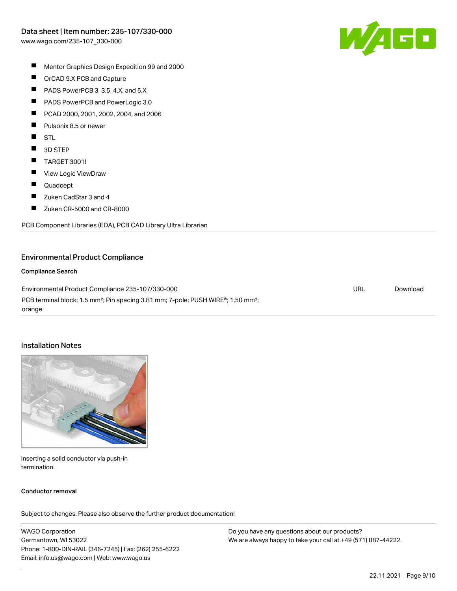

- $\blacksquare$ Mentor Graphics Design Expedition 99 and 2000
- $\blacksquare$ OrCAD 9.X PCB and Capture
- $\blacksquare$ PADS PowerPCB 3, 3.5, 4.X, and 5.X
- $\blacksquare$ PADS PowerPCB and PowerLogic 3.0
- П PCAD 2000, 2001, 2002, 2004, and 2006
- П Pulsonix 8.5 or newer
- $\blacksquare$ STL
- $\blacksquare$ 3D STEP
- $\blacksquare$ TARGET 3001!
- $\blacksquare$ View Logic ViewDraw
- $\blacksquare$ Quadcept
- П Zuken CadStar 3 and 4
- $\blacksquare$ Zuken CR-5000 and CR-8000

PCB Component Libraries (EDA), PCB CAD Library Ultra Librarian

#### Environmental Product Compliance

#### Compliance Search

Environmental Product Compliance 235-107/330-000 PCB terminal block; 1.5 mm²; Pin spacing 3.81 mm; 7-pole; PUSH WIRE®; 1,50 mm²; orange URL [Download](https://www.wago.com/global/d/ComplianceLinkMediaContainer_235-107_330-000)

#### Installation Notes



Inserting a solid conductor via push-in termination.

#### Conductor removal

Subject to changes. Please also observe the further product documentation!

WAGO Corporation Germantown, WI 53022 Phone: 1-800-DIN-RAIL (346-7245) | Fax: (262) 255-6222 Email: info.us@wago.com | Web: www.wago.us